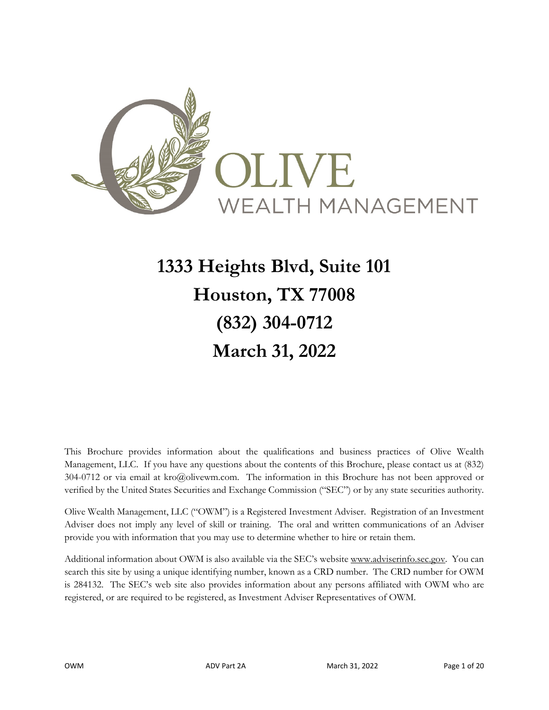<span id="page-0-0"></span>

# **1333 Heights Blvd, Suite 101 Houston, TX 77008 (832) 304-0712 March 31, 2022**

This Brochure provides information about the qualifications and business practices of Olive Wealth Management, LLC. If you have any questions about the contents of this Brochure, please contact us at (832) 304-0712 or via email at kro@olivewm.com. The information in this Brochure has not been approved or verified by the United States Securities and Exchange Commission ("SEC") or by any state securities authority.

Olive Wealth Management, LLC ("OWM") is a Registered Investment Adviser. Registration of an Investment Adviser does not imply any level of skill or training. The oral and written communications of an Adviser provide you with information that you may use to determine whether to hire or retain them.

Additional information about OWM is also available via the SEC's website www.adviserinfo.sec.gov. You can search this site by using a unique identifying number, known as a CRD number. The CRD number for OWM is 284132. The SEC's web site also provides information about any persons affiliated with OWM who are registered, or are required to be registered, as Investment Adviser Representatives of OWM.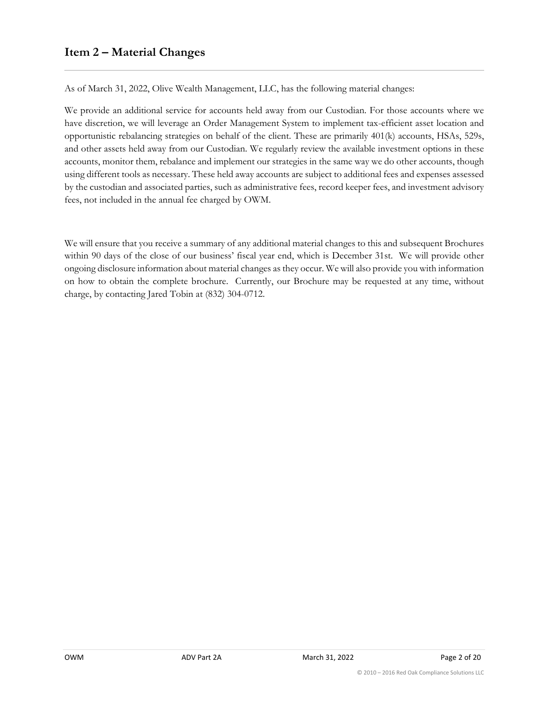<span id="page-1-0"></span>As of March 31, 2022, Olive Wealth Management, LLC, has the following material changes:

We provide an additional service for accounts held away from our Custodian. For those accounts where we have discretion, we will leverage an Order Management System to implement tax-efficient asset location and opportunistic rebalancing strategies on behalf of the client. These are primarily 401(k) accounts, HSAs, 529s, and other assets held away from our Custodian. We regularly review the available investment options in these accounts, monitor them, rebalance and implement our strategies in the same way we do other accounts, though using different tools as necessary. These held away accounts are subject to additional fees and expenses assessed by the custodian and associated parties, such as administrative fees, record keeper fees, and investment advisory fees, not included in the annual fee charged by OWM.

We will ensure that you receive a summary of any additional material changes to this and subsequent Brochures within 90 days of the close of our business' fiscal year end, which is December 31st. We will provide other ongoing disclosure information about material changes as they occur. We will also provide you with information on how to obtain the complete brochure. Currently, our Brochure may be requested at any time, without charge, by contacting Jared Tobin at (832) 304-0712.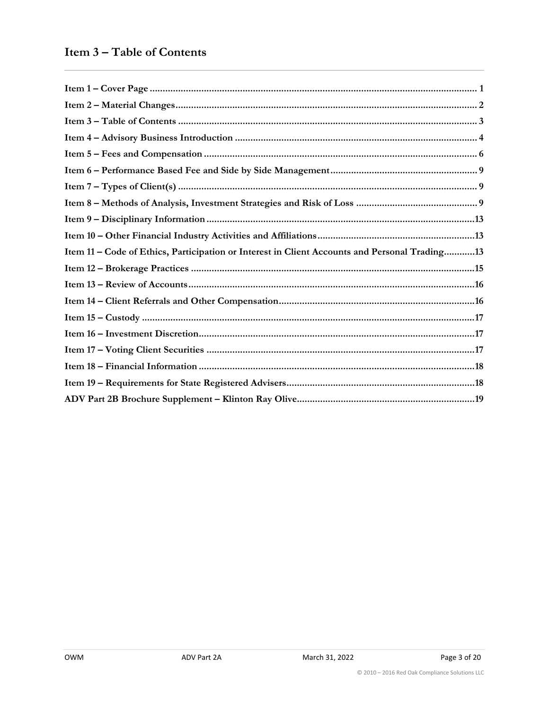<span id="page-2-0"></span>

| Item 11 – Code of Ethics, Participation or Interest in Client Accounts and Personal Trading13 |
|-----------------------------------------------------------------------------------------------|
|                                                                                               |
|                                                                                               |
|                                                                                               |
|                                                                                               |
|                                                                                               |
|                                                                                               |
|                                                                                               |
|                                                                                               |
|                                                                                               |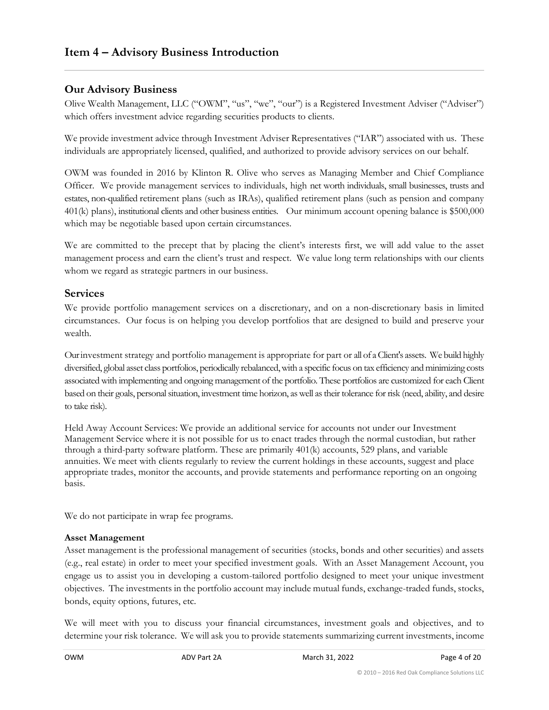### <span id="page-3-0"></span>**Our Advisory Business**

Olive Wealth Management, LLC ("OWM", "us", "we", "our") is a Registered Investment Adviser ("Adviser") which offers investment advice regarding securities products to clients.

We provide investment advice through Investment Adviser Representatives ("IAR") associated with us. These individuals are appropriately licensed, qualified, and authorized to provide advisory services on our behalf.

OWM was founded in 2016 by Klinton R. Olive who serves as Managing Member and Chief Compliance Officer. We provide management services to individuals, high net worth individuals, small businesses, trusts and estates, non-qualified retirement plans (such as IRAs), qualified retirement plans (such as pension and company 401(k) plans), institutional clients and other business entities. Our minimum account opening balance is \$500,000 which may be negotiable based upon certain circumstances.

We are committed to the precept that by placing the client's interests first, we will add value to the asset management process and earn the client's trust and respect. We value long term relationships with our clients whom we regard as strategic partners in our business.

#### **Services**

We provide portfolio management services on a discretionary, and on a non-discretionary basis in limited circumstances. Our focus is on helping you develop portfolios that are designed to build and preserve your wealth.

Our investment strategy and portfolio management is appropriate for part or all of a Client's assets. We build highly diversified, global asset class portfolios, periodically rebalanced, with a specific focus on tax efficiency and minimizing costs associated with implementing and ongoing management of the portfolio. These portfolios are customized for each Client based on their goals, personal situation, investment time horizon, as well as their tolerance for risk (need, ability, and desire to take risk).

Held Away Account Services: We provide an additional service for accounts not under our Investment Management Service where it is not possible for us to enact trades through the normal custodian, but rather through a third-party software platform. These are primarily 401(k) accounts, 529 plans, and variable annuities. We meet with clients regularly to review the current holdings in these accounts, suggest and place appropriate trades, monitor the accounts, and provide statements and performance reporting on an ongoing basis.

We do not participate in wrap fee programs.

#### **Asset Management**

Asset management is the professional management of securities (stocks, bonds and other securities) and assets (e.g., real estate) in order to meet your specified investment goals. With an Asset Management Account, you engage us to assist you in developing a custom-tailored portfolio designed to meet your unique investment objectives. The investments in the portfolio account may include mutual funds, exchange-traded funds, stocks, bonds, equity options, futures, etc.

We will meet with you to discuss your financial circumstances, investment goals and objectives, and to determine your risk tolerance. We will ask you to provide statements summarizing current investments, income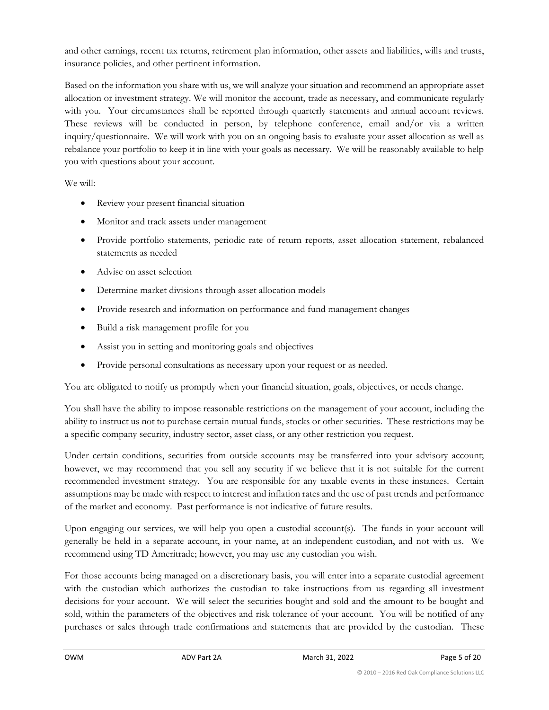and other earnings, recent tax returns, retirement plan information, other assets and liabilities, wills and trusts, insurance policies, and other pertinent information.

Based on the information you share with us, we will analyze your situation and recommend an appropriate asset allocation or investment strategy. We will monitor the account, trade as necessary, and communicate regularly with you. Your circumstances shall be reported through quarterly statements and annual account reviews. These reviews will be conducted in person, by telephone conference, email and/or via a written inquiry/questionnaire. We will work with you on an ongoing basis to evaluate your asset allocation as well as rebalance your portfolio to keep it in line with your goals as necessary. We will be reasonably available to help you with questions about your account.

We will:

- Review your present financial situation
- Monitor and track assets under management
- Provide portfolio statements, periodic rate of return reports, asset allocation statement, rebalanced statements as needed
- Advise on asset selection
- Determine market divisions through asset allocation models
- Provide research and information on performance and fund management changes
- Build a risk management profile for you
- Assist you in setting and monitoring goals and objectives
- Provide personal consultations as necessary upon your request or as needed.

You are obligated to notify us promptly when your financial situation, goals, objectives, or needs change.

You shall have the ability to impose reasonable restrictions on the management of your account, including the ability to instruct us not to purchase certain mutual funds, stocks or other securities. These restrictions may be a specific company security, industry sector, asset class, or any other restriction you request.

Under certain conditions, securities from outside accounts may be transferred into your advisory account; however, we may recommend that you sell any security if we believe that it is not suitable for the current recommended investment strategy. You are responsible for any taxable events in these instances. Certain assumptions may be made with respect to interest and inflation rates and the use of past trends and performance of the market and economy. Past performance is not indicative of future results.

Upon engaging our services, we will help you open a custodial account(s). The funds in your account will generally be held in a separate account, in your name, at an independent custodian, and not with us. We recommend using TD Ameritrade; however, you may use any custodian you wish.

For those accounts being managed on a discretionary basis, you will enter into a separate custodial agreement with the custodian which authorizes the custodian to take instructions from us regarding all investment decisions for your account. We will select the securities bought and sold and the amount to be bought and sold, within the parameters of the objectives and risk tolerance of your account. You will be notified of any purchases or sales through trade confirmations and statements that are provided by the custodian. These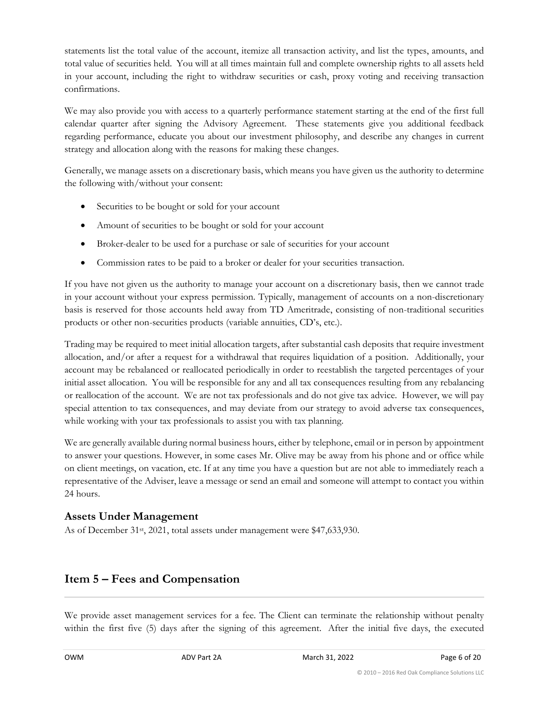statements list the total value of the account, itemize all transaction activity, and list the types, amounts, and total value of securities held. You will at all times maintain full and complete ownership rights to all assets held in your account, including the right to withdraw securities or cash, proxy voting and receiving transaction confirmations.

We may also provide you with access to a quarterly performance statement starting at the end of the first full calendar quarter after signing the Advisory Agreement. These statements give you additional feedback regarding performance, educate you about our investment philosophy, and describe any changes in current strategy and allocation along with the reasons for making these changes.

Generally, we manage assets on a discretionary basis, which means you have given us the authority to determine the following with/without your consent:

- Securities to be bought or sold for your account
- Amount of securities to be bought or sold for your account
- Broker-dealer to be used for a purchase or sale of securities for your account
- Commission rates to be paid to a broker or dealer for your securities transaction.

If you have not given us the authority to manage your account on a discretionary basis, then we cannot trade in your account without your express permission. Typically, management of accounts on a non-discretionary basis is reserved for those accounts held away from TD Ameritrade, consisting of non-traditional securities products or other non-securities products (variable annuities, CD's, etc.).

Trading may be required to meet initial allocation targets, after substantial cash deposits that require investment allocation, and/or after a request for a withdrawal that requires liquidation of a position. Additionally, your account may be rebalanced or reallocated periodically in order to reestablish the targeted percentages of your initial asset allocation. You will be responsible for any and all tax consequences resulting from any rebalancing or reallocation of the account. We are not tax professionals and do not give tax advice. However, we will pay special attention to tax consequences, and may deviate from our strategy to avoid adverse tax consequences, while working with your tax professionals to assist you with tax planning.

We are generally available during normal business hours, either by telephone, email or in person by appointment to answer your questions. However, in some cases Mr. Olive may be away from his phone and or office while on client meetings, on vacation, etc. If at any time you have a question but are not able to immediately reach a representative of the Adviser, leave a message or send an email and someone will attempt to contact you within 24 hours.

### **Assets Under Management**

As of December 31<sup>st</sup>, 2021, total assets under management were \$47,633,930.

### <span id="page-5-0"></span>**Item 5 – Fees and Compensation**

We provide asset management services for a fee. The Client can terminate the relationship without penalty within the first five (5) days after the signing of this agreement. After the initial five days, the executed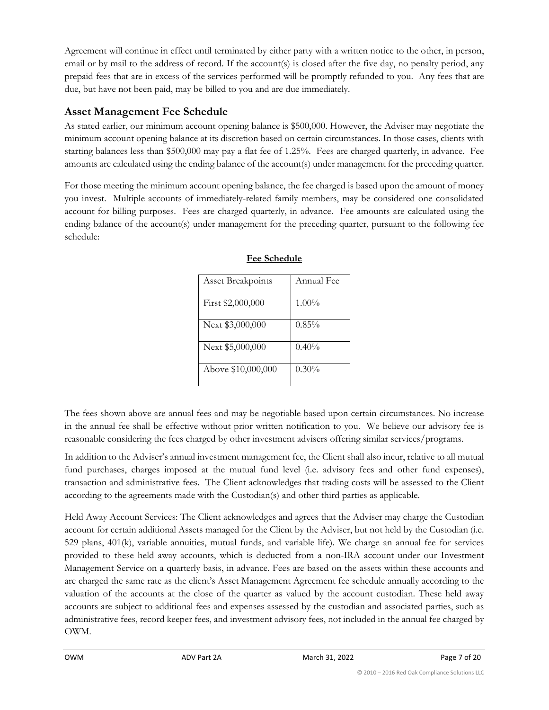Agreement will continue in effect until terminated by either party with a written notice to the other, in person, email or by mail to the address of record. If the account(s) is closed after the five day, no penalty period, any prepaid fees that are in excess of the services performed will be promptly refunded to you. Any fees that are due, but have not been paid, may be billed to you and are due immediately.

### **Asset Management Fee Schedule**

As stated earlier, our minimum account opening balance is \$500,000. However, the Adviser may negotiate the minimum account opening balance at its discretion based on certain circumstances. In those cases, clients with starting balances less than \$500,000 may pay a flat fee of 1.25%. Fees are charged quarterly, in advance. Fee amounts are calculated using the ending balance of the account(s) under management for the preceding quarter.

For those meeting the minimum account opening balance, the fee charged is based upon the amount of money you invest. Multiple accounts of immediately-related family members, may be considered one consolidated account for billing purposes. Fees are charged quarterly, in advance. Fee amounts are calculated using the ending balance of the account(s) under management for the preceding quarter, pursuant to the following fee schedule:

| <b>Asset Breakpoints</b> | Annual Fee |
|--------------------------|------------|
| First \$2,000,000        | $1.00\%$   |
| Next \$3,000,000         | $0.85\%$   |
| Next \$5,000,000         | 0.40%      |
| Above \$10,000,000       | $0.30\%$   |

#### **Fee Schedule**

The fees shown above are annual fees and may be negotiable based upon certain circumstances. No increase in the annual fee shall be effective without prior written notification to you. We believe our advisory fee is reasonable considering the fees charged by other investment advisers offering similar services/programs.

In addition to the Adviser's annual investment management fee, the Client shall also incur, relative to all mutual fund purchases, charges imposed at the mutual fund level (i.e. advisory fees and other fund expenses), transaction and administrative fees. The Client acknowledges that trading costs will be assessed to the Client according to the agreements made with the Custodian(s) and other third parties as applicable.

Held Away Account Services: The Client acknowledges and agrees that the Adviser may charge the Custodian account for certain additional Assets managed for the Client by the Adviser, but not held by the Custodian (i.e. 529 plans, 401(k), variable annuities, mutual funds, and variable life). We charge an annual fee for services provided to these held away accounts, which is deducted from a non-IRA account under our Investment Management Service on a quarterly basis, in advance. Fees are based on the assets within these accounts and are charged the same rate as the client's Asset Management Agreement fee schedule annually according to the valuation of the accounts at the close of the quarter as valued by the account custodian. These held away accounts are subject to additional fees and expenses assessed by the custodian and associated parties, such as administrative fees, record keeper fees, and investment advisory fees, not included in the annual fee charged by OWM.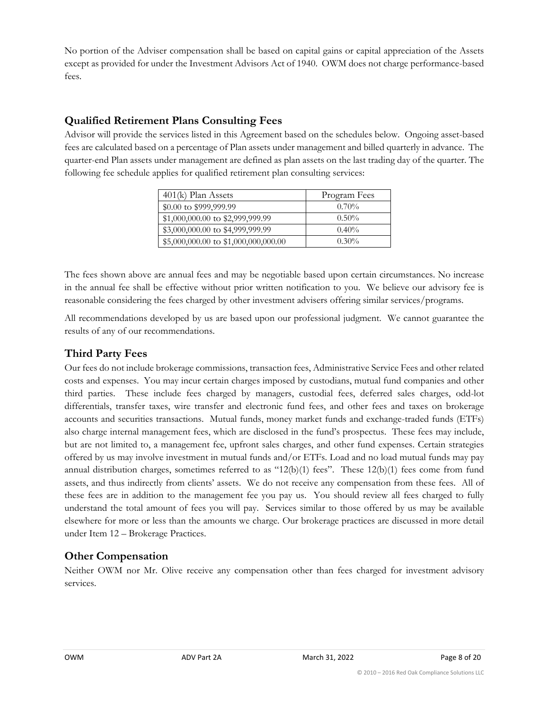No portion of the Adviser compensation shall be based on capital gains or capital appreciation of the Assets except as provided for under the Investment Advisors Act of 1940. OWM does not charge performance-based fees.

### **Qualified Retirement Plans Consulting Fees**

Advisor will provide the services listed in this Agreement based on the schedules below. Ongoing asset-based fees are calculated based on a percentage of Plan assets under management and billed quarterly in advance. The quarter-end Plan assets under management are defined as plan assets on the last trading day of the quarter. The following fee schedule applies for qualified retirement plan consulting services:

| $401(k)$ Plan Assets                 | Program Fees |
|--------------------------------------|--------------|
| \$0.00 to \$999,999.99               | $0.70\%$     |
| \$1,000,000.00 to \$2,999,999.99     | $0.50\%$     |
| \$3,000,000.00 to \$4,999,999.99     | $0.40\%$     |
| \$5,000,000.00 to \$1,000,000,000.00 | $0.30\%$     |

The fees shown above are annual fees and may be negotiable based upon certain circumstances. No increase in the annual fee shall be effective without prior written notification to you. We believe our advisory fee is reasonable considering the fees charged by other investment advisers offering similar services/programs.

All recommendations developed by us are based upon our professional judgment. We cannot guarantee the results of any of our recommendations.

### **Third Party Fees**

Our fees do not include brokerage commissions, transaction fees, Administrative Service Fees and other related costs and expenses. You may incur certain charges imposed by custodians, mutual fund companies and other third parties. These include fees charged by managers, custodial fees, deferred sales charges, odd-lot differentials, transfer taxes, wire transfer and electronic fund fees, and other fees and taxes on brokerage accounts and securities transactions. Mutual funds, money market funds and exchange-traded funds (ETFs) also charge internal management fees, which are disclosed in the fund's prospectus. These fees may include, but are not limited to, a management fee, upfront sales charges, and other fund expenses. Certain strategies offered by us may involve investment in mutual funds and/or ETFs. Load and no load mutual funds may pay annual distribution charges, sometimes referred to as "12(b)(1) fees". These 12(b)(1) fees come from fund assets, and thus indirectly from clients' assets. We do not receive any compensation from these fees. All of these fees are in addition to the management fee you pay us. You should review all fees charged to fully understand the total amount of fees you will pay. Services similar to those offered by us may be available elsewhere for more or less than the amounts we charge. Our brokerage practices are discussed in more detail under Item 12 – Brokerage Practices.

### **Other Compensation**

Neither OWM nor Mr. Olive receive any compensation other than fees charged for investment advisory services.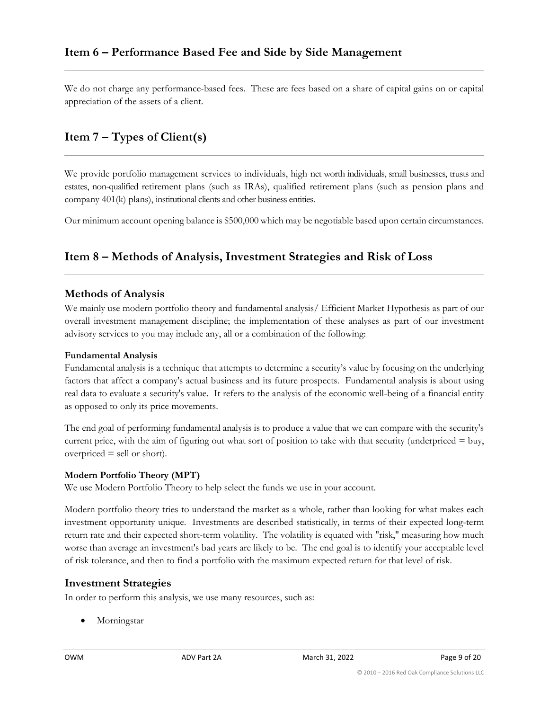<span id="page-8-0"></span>We do not charge any performance-based fees. These are fees based on a share of capital gains on or capital appreciation of the assets of a client.

### <span id="page-8-1"></span>**Item 7 – Types of Client(s)**

We provide portfolio management services to individuals, high net worth individuals, small businesses, trusts and estates, non-qualified retirement plans (such as IRAs), qualified retirement plans (such as pension plans and company 401(k) plans), institutional clients and other business entities.

Our minimum account opening balance is \$500,000 which may be negotiable based upon certain circumstances.

### <span id="page-8-2"></span>**Item 8 – Methods of Analysis, Investment Strategies and Risk of Loss**

#### **Methods of Analysis**

We mainly use modern portfolio theory and fundamental analysis/ Efficient Market Hypothesis as part of our overall investment management discipline; the implementation of these analyses as part of our investment advisory services to you may include any, all or a combination of the following:

#### **Fundamental Analysis**

Fundamental analysis is a technique that attempts to determine a security's value by focusing on the underlying factors that affect a company's actual business and its future prospects. Fundamental analysis is about using real data to evaluate a security's value. It refers to the analysis of the economic well-being of a financial entity as opposed to only its price movements.

The end goal of performing fundamental analysis is to produce a value that we can compare with the security's current price, with the aim of figuring out what sort of position to take with that security (underpriced  $=$  buy,  $overpriced = sell or short).$ 

#### **Modern Portfolio Theory (MPT)**

We use Modern Portfolio Theory to help select the funds we use in your account.

Modern portfolio theory tries to understand the market as a whole, rather than looking for what makes each investment opportunity unique. Investments are described statistically, in terms of their expected long-term return rate and their expected short-term volatility. The volatility is equated with "risk," measuring how much worse than average an investment's bad years are likely to be. The end goal is to identify your acceptable level of risk tolerance, and then to find a portfolio with the maximum expected return for that level of risk.

#### **Investment Strategies**

In order to perform this analysis, we use many resources, such as:

• Morningstar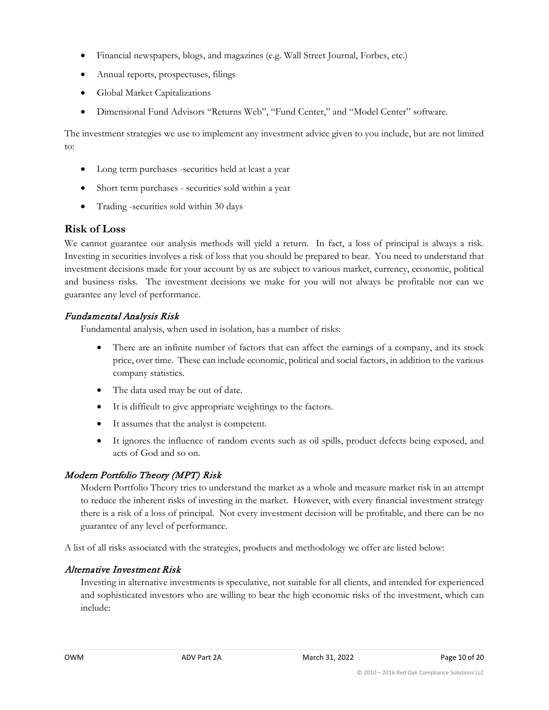- Financial newspapers, blogs, and magazines (e.g. Wall Street Journal, Forbes, etc.)
- Annual reports, prospectuses, filings
- Global Market Capitalizations
- Dimensional Fund Advisors "Returns Web", "Fund Center," and "Model Center" software.

The investment strategies we use to implement any investment advice given to you include, but are not limited to:

- Long term purchases -securities held at least a year
- Short term purchases securities sold within a year
- Trading -securities sold within 30 days

### **Risk of Loss**

We cannot guarantee our analysis methods will yield a return. In fact, a loss of principal is always a risk. Investing in securities involves a risk of loss that you should be prepared to bear. You need to understand that investment decisions made for your account by us are subject to various market, currency, economic, political and business risks. The investment decisions we make for you will not always be profitable nor can we guarantee any level of performance.

### Fundamental Analysis Risk

Fundamental analysis, when used in isolation, has a number of risks:

- There are an infinite number of factors that can affect the earnings of a company, and its stock price, over time. These can include economic, political and social factors, in addition to the various company statistics.
- The data used may be out of date.
- It is difficult to give appropriate weightings to the factors.
- It assumes that the analyst is competent.
- It ignores the influence of random events such as oil spills, product defects being exposed, and acts of God and so on.

### Modern Portfolio Theory (MPT) Risk

Modern Portfolio Theory tries to understand the market as a whole and measure market risk in an attempt to reduce the inherent risks of investing in the market. However, with every financial investment strategy there is a risk of a loss of principal. Not every investment decision will be profitable, and there can be no guarantee of any level of performance.

A list of all risks associated with the strategies, products and methodology we offer are listed below:

### Alternative Investment Risk

Investing in alternative investments is speculative, not suitable for all clients, and intended for experienced and sophisticated investors who are willing to bear the high economic risks of the investment, which can include: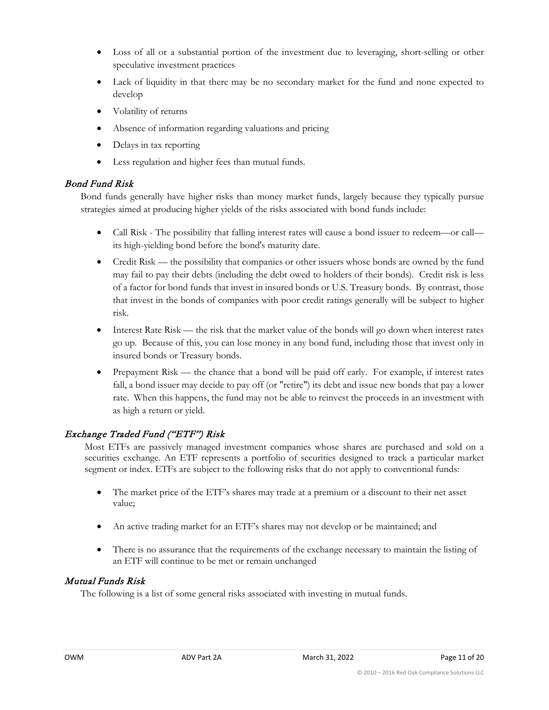- Loss of all or a substantial portion of the investment due to leveraging, short-selling or other speculative investment practices
- Lack of liquidity in that there may be no secondary market for the fund and none expected to develop
- Volatility of returns
- Absence of information regarding valuations and pricing
- Delays in tax reporting
- Less regulation and higher fees than mutual funds.

### Bond Fund Risk

Bond funds generally have higher risks than money market funds, largely because they typically pursue strategies aimed at producing higher yields of the risks associated with bond funds include:

- Call Risk The possibility that falling interest rates will cause a bond issuer to redeem—or call its high-yielding bond before the bond's maturity date.
- Credit Risk the possibility that companies or other issuers whose bonds are owned by the fund may fail to pay their debts (including the debt owed to holders of their bonds). Credit risk is less of a factor for bond funds that invest in insured bonds or U.S. Treasury bonds. By contrast, those that invest in the bonds of companies with poor credit ratings generally will be subject to higher risk.
- Interest Rate Risk the risk that the market value of the bonds will go down when interest rates go up. Because of this, you can lose money in any bond fund, including those that invest only in insured bonds or Treasury bonds.
- Prepayment Risk the chance that a bond will be paid off early. For example, if interest rates fall, a bond issuer may decide to pay off (or "retire") its debt and issue new bonds that pay a lower rate. When this happens, the fund may not be able to reinvest the proceeds in an investment with as high a return or yield.

### Exchange Traded Fund ("ETF") Risk

Most ETFs are passively managed investment companies whose shares are purchased and sold on a securities exchange. An ETF represents a portfolio of securities designed to track a particular market segment or index. ETFs are subject to the following risks that do not apply to conventional funds:

- The market price of the ETF's shares may trade at a premium or a discount to their net asset value;
- An active trading market for an ETF's shares may not develop or be maintained; and
- There is no assurance that the requirements of the exchange necessary to maintain the listing of an ETF will continue to be met or remain unchanged

### Mutual Funds Risk

The following is a list of some general risks associated with investing in mutual funds.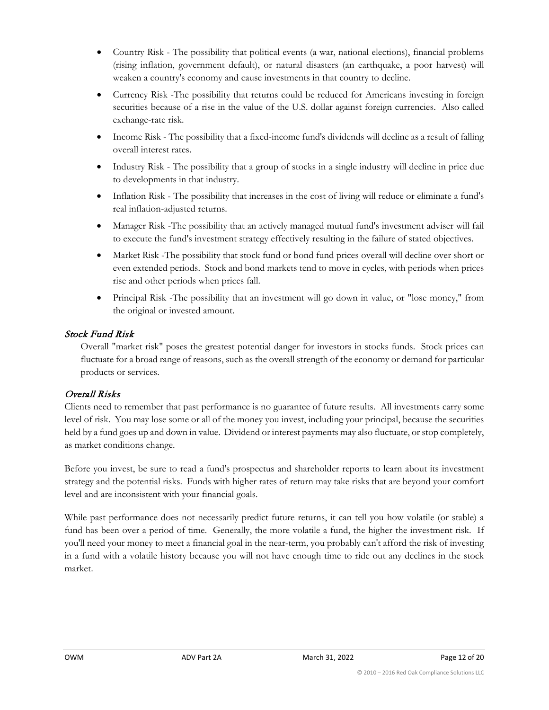- Country Risk The possibility that political events (a war, national elections), financial problems (rising inflation, government default), or natural disasters (an earthquake, a poor harvest) will weaken a country's economy and cause investments in that country to decline.
- Currency Risk -The possibility that returns could be reduced for Americans investing in foreign securities because of a rise in the value of the U.S. dollar against foreign currencies. Also called exchange-rate risk.
- Income Risk The possibility that a fixed-income fund's dividends will decline as a result of falling overall interest rates.
- Industry Risk The possibility that a group of stocks in a single industry will decline in price due to developments in that industry.
- Inflation Risk The possibility that increases in the cost of living will reduce or eliminate a fund's real inflation-adjusted returns.
- Manager Risk -The possibility that an actively managed mutual fund's investment adviser will fail to execute the fund's investment strategy effectively resulting in the failure of stated objectives.
- Market Risk -The possibility that stock fund or bond fund prices overall will decline over short or even extended periods. Stock and bond markets tend to move in cycles, with periods when prices rise and other periods when prices fall.
- Principal Risk -The possibility that an investment will go down in value, or "lose money," from the original or invested amount.

### Stock Fund Risk

Overall "market risk" poses the greatest potential danger for investors in stocks funds. Stock prices can fluctuate for a broad range of reasons, such as the overall strength of the economy or demand for particular products or services.

### Overall Risks

Clients need to remember that past performance is no guarantee of future results. All investments carry some level of risk. You may lose some or all of the money you invest, including your principal, because the securities held by a fund goes up and down in value. Dividend or interest payments may also fluctuate, or stop completely, as market conditions change.

Before you invest, be sure to read a fund's prospectus and shareholder reports to learn about its investment strategy and the potential risks. Funds with higher rates of return may take risks that are beyond your comfort level and are inconsistent with your financial goals.

While past performance does not necessarily predict future returns, it can tell you how volatile (or stable) a fund has been over a period of time. Generally, the more volatile a fund, the higher the investment risk. If you'll need your money to meet a financial goal in the near-term, you probably can't afford the risk of investing in a fund with a volatile history because you will not have enough time to ride out any declines in the stock market.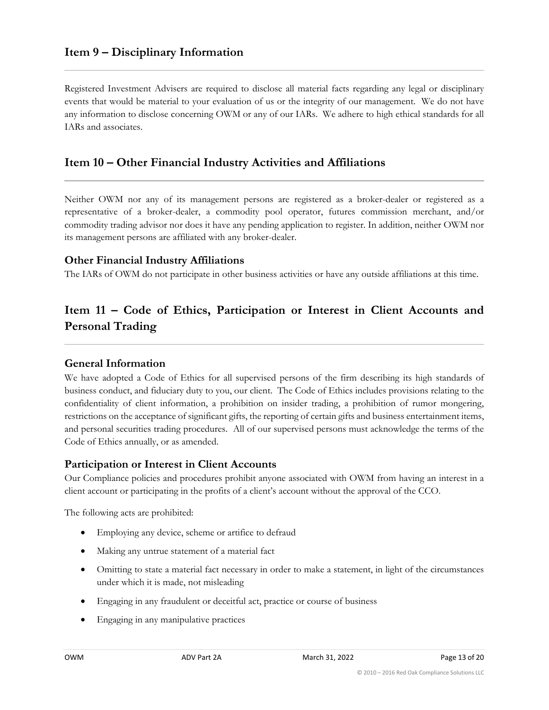### <span id="page-12-0"></span>**Item 9 – Disciplinary Information**

Registered Investment Advisers are required to disclose all material facts regarding any legal or disciplinary events that would be material to your evaluation of us or the integrity of our management. We do not have any information to disclose concerning OWM or any of our IARs. We adhere to high ethical standards for all IARs and associates.

### <span id="page-12-1"></span>**Item 10 – Other Financial Industry Activities and Affiliations**

Neither OWM nor any of its management persons are registered as a broker-dealer or registered as a representative of a broker-dealer, a commodity pool operator, futures commission merchant, and/or commodity trading advisor nor does it have any pending application to register. In addition, neither OWM nor its management persons are affiliated with any broker-dealer.

#### **Other Financial Industry Affiliations**

The IARs of OWM do not participate in other business activities or have any outside affiliations at this time.

### <span id="page-12-2"></span>**Item 11 – Code of Ethics, Participation or Interest in Client Accounts and Personal Trading**

#### **General Information**

We have adopted a Code of Ethics for all supervised persons of the firm describing its high standards of business conduct, and fiduciary duty to you, our client. The Code of Ethics includes provisions relating to the confidentiality of client information, a prohibition on insider trading, a prohibition of rumor mongering, restrictions on the acceptance of significant gifts, the reporting of certain gifts and business entertainment items, and personal securities trading procedures. All of our supervised persons must acknowledge the terms of the Code of Ethics annually, or as amended.

#### **Participation or Interest in Client Accounts**

Our Compliance policies and procedures prohibit anyone associated with OWM from having an interest in a client account or participating in the profits of a client's account without the approval of the CCO.

The following acts are prohibited:

- Employing any device, scheme or artifice to defraud
- Making any untrue statement of a material fact
- Omitting to state a material fact necessary in order to make a statement, in light of the circumstances under which it is made, not misleading
- Engaging in any fraudulent or deceitful act, practice or course of business
- Engaging in any manipulative practices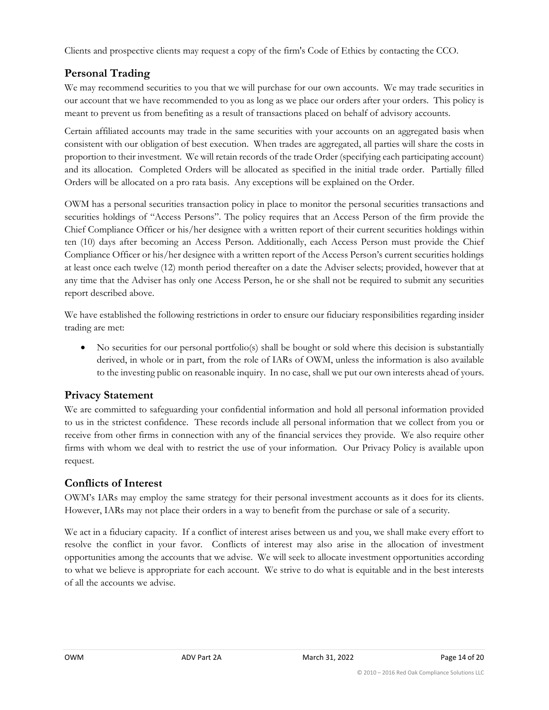Clients and prospective clients may request a copy of the firm's Code of Ethics by contacting the CCO.

### **Personal Trading**

We may recommend securities to you that we will purchase for our own accounts. We may trade securities in our account that we have recommended to you as long as we place our orders after your orders. This policy is meant to prevent us from benefiting as a result of transactions placed on behalf of advisory accounts.

Certain affiliated accounts may trade in the same securities with your accounts on an aggregated basis when consistent with our obligation of best execution. When trades are aggregated, all parties will share the costs in proportion to their investment. We will retain records of the trade Order (specifying each participating account) and its allocation. Completed Orders will be allocated as specified in the initial trade order. Partially filled Orders will be allocated on a pro rata basis. Any exceptions will be explained on the Order.

OWM has a personal securities transaction policy in place to monitor the personal securities transactions and securities holdings of "Access Persons". The policy requires that an Access Person of the firm provide the Chief Compliance Officer or his/her designee with a written report of their current securities holdings within ten (10) days after becoming an Access Person. Additionally, each Access Person must provide the Chief Compliance Officer or his/her designee with a written report of the Access Person's current securities holdings at least once each twelve (12) month period thereafter on a date the Adviser selects; provided, however that at any time that the Adviser has only one Access Person, he or she shall not be required to submit any securities report described above.

We have established the following restrictions in order to ensure our fiduciary responsibilities regarding insider trading are met:

• No securities for our personal portfolio(s) shall be bought or sold where this decision is substantially derived, in whole or in part, from the role of IARs of OWM, unless the information is also available to the investing public on reasonable inquiry. In no case, shall we put our own interests ahead of yours.

### **Privacy Statement**

We are committed to safeguarding your confidential information and hold all personal information provided to us in the strictest confidence. These records include all personal information that we collect from you or receive from other firms in connection with any of the financial services they provide. We also require other firms with whom we deal with to restrict the use of your information. Our Privacy Policy is available upon request.

### **Conflicts of Interest**

OWM's IARs may employ the same strategy for their personal investment accounts as it does for its clients. However, IARs may not place their orders in a way to benefit from the purchase or sale of a security.

We act in a fiduciary capacity. If a conflict of interest arises between us and you, we shall make every effort to resolve the conflict in your favor. Conflicts of interest may also arise in the allocation of investment opportunities among the accounts that we advise. We will seek to allocate investment opportunities according to what we believe is appropriate for each account. We strive to do what is equitable and in the best interests of all the accounts we advise.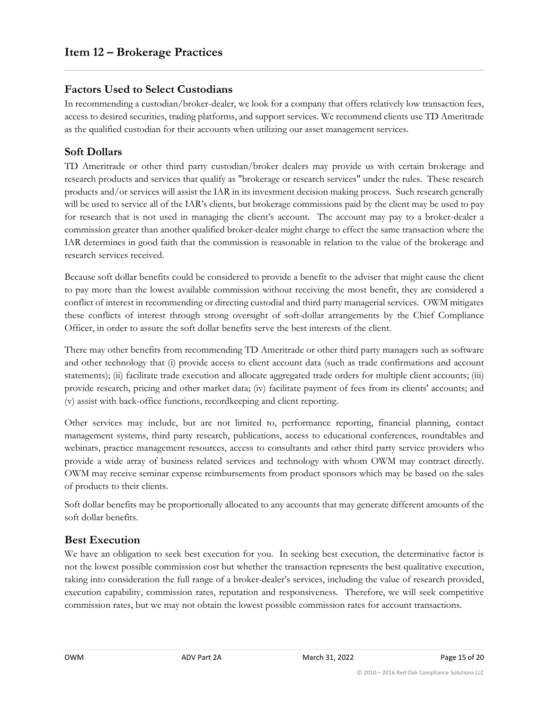### <span id="page-14-0"></span>**Factors Used to Select Custodians**

In recommending a custodian/broker-dealer, we look for a company that offers relatively low transaction fees, access to desired securities, trading platforms, and support services. We recommend clients use TD Ameritrade as the qualified custodian for their accounts when utilizing our asset management services.

### **Soft Dollars**

TD Ameritrade or other third party custodian/broker dealers may provide us with certain brokerage and research products and services that qualify as "brokerage or research services" under the rules. These research products and/or services will assist the IAR in its investment decision making process. Such research generally will be used to service all of the IAR's clients, but brokerage commissions paid by the client may be used to pay for research that is not used in managing the client's account. The account may pay to a broker-dealer a commission greater than another qualified broker-dealer might charge to effect the same transaction where the IAR determines in good faith that the commission is reasonable in relation to the value of the brokerage and research services received.

Because soft dollar benefits could be considered to provide a benefit to the adviser that might cause the client to pay more than the lowest available commission without receiving the most benefit, they are considered a conflict of interest in recommending or directing custodial and third party managerial services. OWM mitigates these conflicts of interest through strong oversight of soft-dollar arrangements by the Chief Compliance Officer, in order to assure the soft dollar benefits serve the best interests of the client.

There may other benefits from recommending TD Ameritrade or other third party managers such as software and other technology that (i) provide access to client account data (such as trade confirmations and account statements); (ii) facilitate trade execution and allocate aggregated trade orders for multiple client accounts; (iii) provide research, pricing and other market data; (iv) facilitate payment of fees from its clients' accounts; and (v) assist with back-office functions, recordkeeping and client reporting.

Other services may include, but are not limited to, performance reporting, financial planning, contact management systems, third party research, publications, access to educational conferences, roundtables and webinars, practice management resources, access to consultants and other third party service providers who provide a wide array of business related services and technology with whom OWM may contract directly. OWM may receive seminar expense reimbursements from product sponsors which may be based on the sales of products to their clients.

Soft dollar benefits may be proportionally allocated to any accounts that may generate different amounts of the soft dollar benefits.

### **Best Execution**

We have an obligation to seek best execution for you. In seeking best execution, the determinative factor is not the lowest possible commission cost but whether the transaction represents the best qualitative execution, taking into consideration the full range of a broker-dealer's services, including the value of research provided, execution capability, commission rates, reputation and responsiveness. Therefore, we will seek competitive commission rates, but we may not obtain the lowest possible commission rates for account transactions.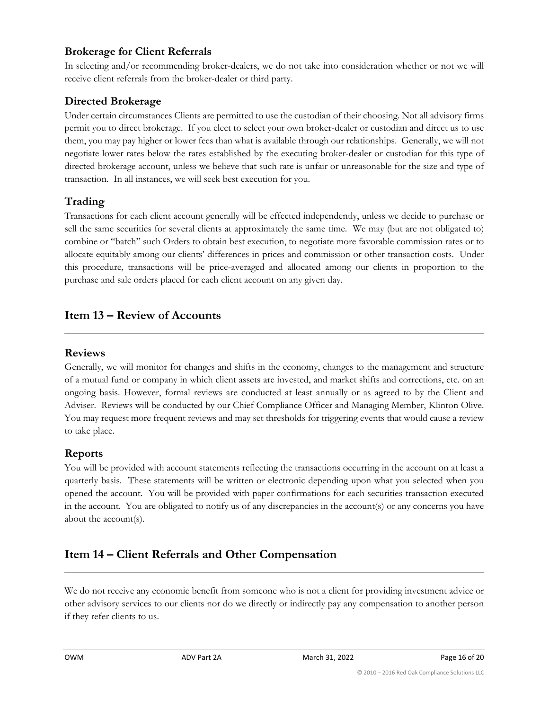### **Brokerage for Client Referrals**

In selecting and/or recommending broker-dealers, we do not take into consideration whether or not we will receive client referrals from the broker-dealer or third party.

### **Directed Brokerage**

Under certain circumstances Clients are permitted to use the custodian of their choosing. Not all advisory firms permit you to direct brokerage. If you elect to select your own broker-dealer or custodian and direct us to use them, you may pay higher or lower fees than what is available through our relationships. Generally, we will not negotiate lower rates below the rates established by the executing broker-dealer or custodian for this type of directed brokerage account, unless we believe that such rate is unfair or unreasonable for the size and type of transaction. In all instances, we will seek best execution for you.

### **Trading**

Transactions for each client account generally will be effected independently, unless we decide to purchase or sell the same securities for several clients at approximately the same time. We may (but are not obligated to) combine or "batch" such Orders to obtain best execution, to negotiate more favorable commission rates or to allocate equitably among our clients' differences in prices and commission or other transaction costs. Under this procedure, transactions will be price-averaged and allocated among our clients in proportion to the purchase and sale orders placed for each client account on any given day.

### <span id="page-15-0"></span>**Item 13 – Review of Accounts**

#### **Reviews**

Generally, we will monitor for changes and shifts in the economy, changes to the management and structure of a mutual fund or company in which client assets are invested, and market shifts and corrections, etc. on an ongoing basis. However, formal reviews are conducted at least annually or as agreed to by the Client and Adviser. Reviews will be conducted by our Chief Compliance Officer and Managing Member, Klinton Olive. You may request more frequent reviews and may set thresholds for triggering events that would cause a review to take place.

### **Reports**

You will be provided with account statements reflecting the transactions occurring in the account on at least a quarterly basis. These statements will be written or electronic depending upon what you selected when you opened the account. You will be provided with paper confirmations for each securities transaction executed in the account. You are obligated to notify us of any discrepancies in the account(s) or any concerns you have about the account(s).

### <span id="page-15-1"></span>**Item 14 – Client Referrals and Other Compensation**

We do not receive any economic benefit from someone who is not a client for providing investment advice or other advisory services to our clients nor do we directly or indirectly pay any compensation to another person if they refer clients to us.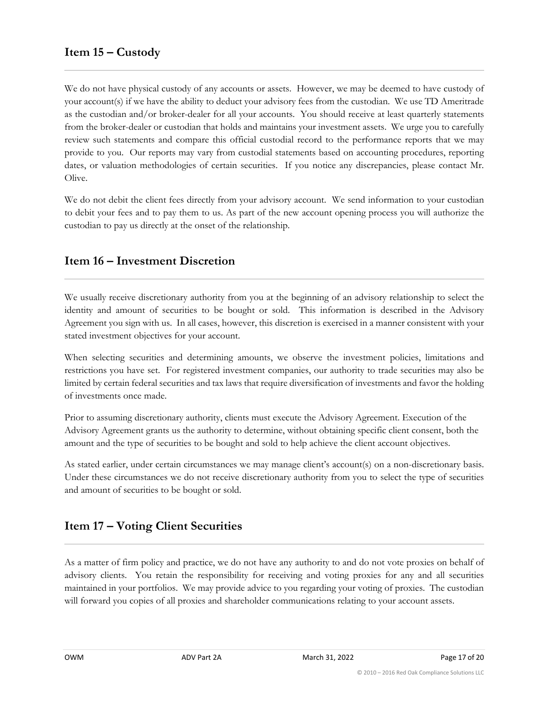<span id="page-16-0"></span>We do not have physical custody of any accounts or assets. However, we may be deemed to have custody of your account(s) if we have the ability to deduct your advisory fees from the custodian. We use TD Ameritrade as the custodian and/or broker-dealer for all your accounts. You should receive at least quarterly statements from the broker-dealer or custodian that holds and maintains your investment assets. We urge you to carefully review such statements and compare this official custodial record to the performance reports that we may provide to you. Our reports may vary from custodial statements based on accounting procedures, reporting dates, or valuation methodologies of certain securities. If you notice any discrepancies, please contact Mr. Olive.

We do not debit the client fees directly from your advisory account. We send information to your custodian to debit your fees and to pay them to us. As part of the new account opening process you will authorize the custodian to pay us directly at the onset of the relationship.

### <span id="page-16-1"></span>**Item 16 – Investment Discretion**

We usually receive discretionary authority from you at the beginning of an advisory relationship to select the identity and amount of securities to be bought or sold. This information is described in the Advisory Agreement you sign with us. In all cases, however, this discretion is exercised in a manner consistent with your stated investment objectives for your account.

When selecting securities and determining amounts, we observe the investment policies, limitations and restrictions you have set. For registered investment companies, our authority to trade securities may also be limited by certain federal securities and tax laws that require diversification of investments and favor the holding of investments once made.

Prior to assuming discretionary authority, clients must execute the Advisory Agreement. Execution of the Advisory Agreement grants us the authority to determine, without obtaining specific client consent, both the amount and the type of securities to be bought and sold to help achieve the client account objectives.

As stated earlier, under certain circumstances we may manage client's account(s) on a non-discretionary basis. Under these circumstances we do not receive discretionary authority from you to select the type of securities and amount of securities to be bought or sold.

### <span id="page-16-2"></span>**Item 17 – Voting Client Securities**

As a matter of firm policy and practice, we do not have any authority to and do not vote proxies on behalf of advisory clients. You retain the responsibility for receiving and voting proxies for any and all securities maintained in your portfolios. We may provide advice to you regarding your voting of proxies. The custodian will forward you copies of all proxies and shareholder communications relating to your account assets.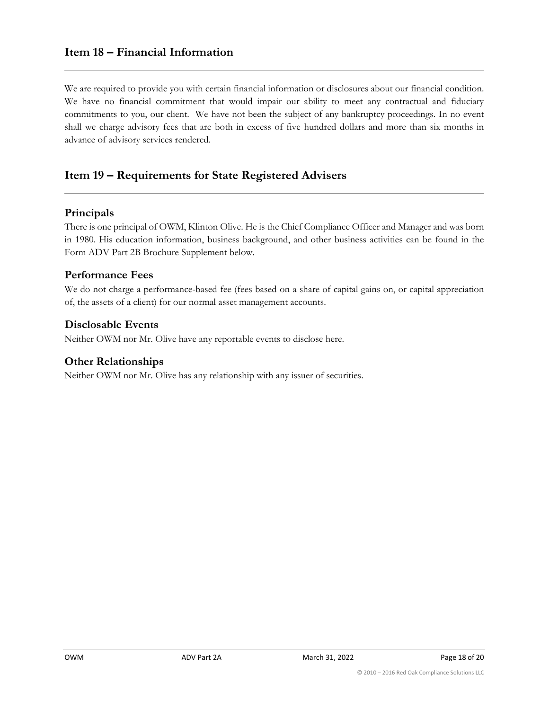### <span id="page-17-0"></span>**Item 18 – Financial Information**

We are required to provide you with certain financial information or disclosures about our financial condition. We have no financial commitment that would impair our ability to meet any contractual and fiduciary commitments to you, our client. We have not been the subject of any bankruptcy proceedings. In no event shall we charge advisory fees that are both in excess of five hundred dollars and more than six months in advance of advisory services rendered.

### <span id="page-17-1"></span>**Item 19 – Requirements for State Registered Advisers**

#### **Principals**

There is one principal of OWM, Klinton Olive. He is the Chief Compliance Officer and Manager and was born in 1980. His education information, business background, and other business activities can be found in the Form ADV Part 2B Brochure Supplement below.

#### **Performance Fees**

We do not charge a performance-based fee (fees based on a share of capital gains on, or capital appreciation of, the assets of a client) for our normal asset management accounts.

#### **Disclosable Events**

Neither OWM nor Mr. Olive have any reportable events to disclose here.

#### **Other Relationships**

Neither OWM nor Mr. Olive has any relationship with any issuer of securities.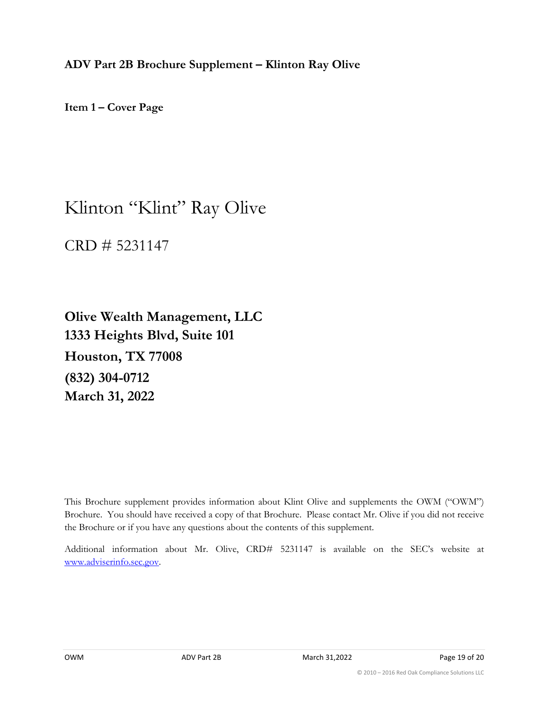<span id="page-18-0"></span>**ADV Part 2B Brochure Supplement – Klinton Ray Olive**

**Item 1 – Cover Page**

## Klinton "Klint" Ray Olive

CRD # 5231147

**Olive Wealth Management, LLC 1333 Heights Blvd, Suite 101 Houston, TX 77008 (832) 304-0712 March 31, 2022**

This Brochure supplement provides information about Klint Olive and supplements the OWM ("OWM") Brochure. You should have received a copy of that Brochure. Please contact Mr. Olive if you did not receive the Brochure or if you have any questions about the contents of this supplement.

Additional information about Mr. Olive, CRD# 5231147 is available on the SEC's website at [www.adviserinfo.sec.gov.](http://www.adviserinfo.sec.gov/)